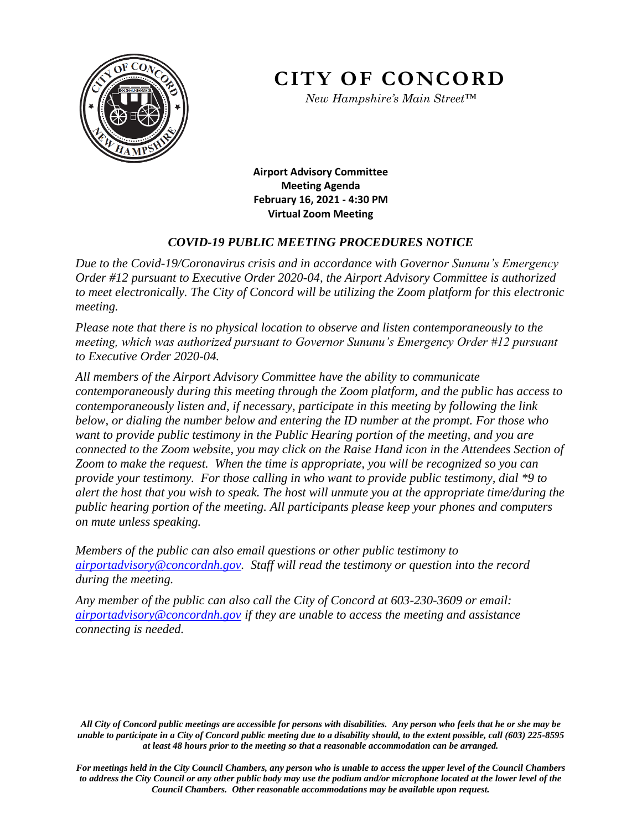

**CITY OF CONCORD**

*New Hampshire's Main Street™*

**Airport Advisory Committee Meeting Agenda February 16, 2021 - 4:30 PM Virtual Zoom Meeting** 

# *COVID-19 PUBLIC MEETING PROCEDURES NOTICE*

*Due to the Covid-19/Coronavirus crisis and in accordance with Governor Sununu's Emergency Order #12 pursuant to Executive Order 2020-04, the Airport Advisory Committee is authorized to meet electronically. The City of Concord will be utilizing the Zoom platform for this electronic meeting.* 

*Please note that there is no physical location to observe and listen contemporaneously to the meeting, which was authorized pursuant to Governor Sununu's Emergency Order #12 pursuant to Executive Order 2020-04.* 

*All members of the Airport Advisory Committee have the ability to communicate contemporaneously during this meeting through the Zoom platform, and the public has access to contemporaneously listen and, if necessary, participate in this meeting by following the link below, or dialing the number below and entering the ID number at the prompt. For those who want to provide public testimony in the Public Hearing portion of the meeting, and you are connected to the Zoom website, you may click on the Raise Hand icon in the Attendees Section of Zoom to make the request. When the time is appropriate, you will be recognized so you can provide your testimony. For those calling in who want to provide public testimony, dial \*9 to alert the host that you wish to speak. The host will unmute you at the appropriate time/during the public hearing portion of the meeting. All participants please keep your phones and computers on mute unless speaking.* 

*Members of the public can also email questions or other public testimony to [airportadvisory@concordnh.gov.](mailto:airportadvisory@concordnh.gov) Staff will read the testimony or question into the record during the meeting.* 

*Any member of the public can also call the City of Concord at 603-230-3609 or email: [airportadvisory@concordnh.gov](mailto:airportadvisory@concordnh.gov) if they are unable to access the meeting and assistance connecting is needed.*

*All City of Concord public meetings are accessible for persons with disabilities. Any person who feels that he or she may be unable to participate in a City of Concord public meeting due to a disability should, to the extent possible, call (603) 225-8595 at least 48 hours prior to the meeting so that a reasonable accommodation can be arranged.*

*For meetings held in the City Council Chambers, any person who is unable to access the upper level of the Council Chambers to address the City Council or any other public body may use the podium and/or microphone located at the lower level of the Council Chambers. Other reasonable accommodations may be available upon request.*